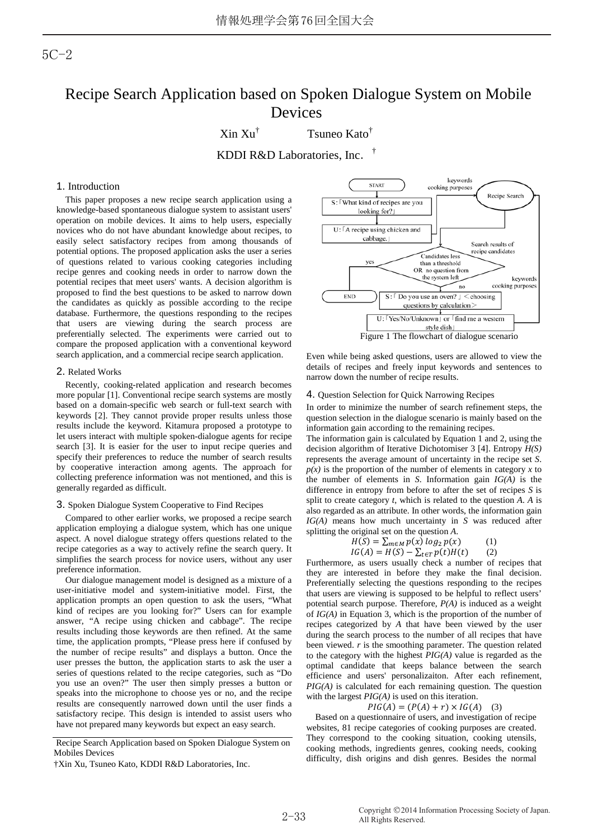# 5C-2

# Recipe Search Application based on Spoken Dialogue System on Mobile Devices

 $\mathrm{Xin Xu}^\dagger$ 

Tsuneo Kato†

KDDI R&D Laboratories, Inc.†

## 1. Introduction

This paper proposes a new recipe search application using a knowledge-based spontaneous dialogue system to assistant users' operation on mobile devices. It aims to help users, especially novices who do not have abundant knowledge about recipes, to easily select satisfactory recipes from among thousands of potential options. The proposed application asks the user a series of questions related to various cooking categories including recipe genres and cooking needs in order to narrow down the potential recipes that meet users' wants. A decision algorithm is proposed to find the best questions to be asked to narrow down the candidates as quickly as possible according to the recipe database. Furthermore, the questions responding to the recipes that users are viewing during the search process are preferentially selected. The experiments were carried out to compare the proposed application with a conventional keyword search application, and a commercial recipe search application.

#### 2. Related Works

Recently, cooking-related application and research becomes more popular [1]. Conventional recipe search systems are mostly based on a domain-specific web search or full-text search with keywords [2]. They cannot provide proper results unless those results include the keyword. Kitamura proposed a prototype to let users interact with multiple spoken-dialogue agents for recipe search [3]. It is easier for the user to input recipe queries and specify their preferences to reduce the number of search results by cooperative interaction among agents. The approach for collecting preference information was not mentioned, and this is generally regarded as difficult.

#### 3. Spoken Dialogue System Cooperative to Find Recipes

Compared to other earlier works, we proposed a recipe search application employing a dialogue system, which has one unique aspect. A novel dialogue strategy offers questions related to the recipe categories as a way to actively refine the search query. It simplifies the search process for novice users, without any user preference information.

Our dialogue management model is designed as a mixture of a user-initiative model and system-initiative model. First, the application prompts an open question to ask the users, "What kind of recipes are you looking for?" Users can for example answer, "A recipe using chicken and cabbage". The recipe results including those keywords are then refined. At the same time, the application prompts, "Please press here if confused by the number of recipe results" and displays a button. Once the user presses the button, the application starts to ask the user a series of questions related to the recipe categories, such as "Do you use an oven?" The user then simply presses a button or speaks into the microphone to choose yes or no, and the recipe results are consequently narrowed down until the user finds a satisfactory recipe. This design is intended to assist users who have not prepared many keywords but expect an easy search.



Even while being asked questions, users are allowed to view the details of recipes and freely input keywords and sentences to narrow down the number of recipe results.

#### 4. Question Selection for Quick Narrowing Recipes

In order to minimize the number of search refinement steps, the question selection in the dialogue scenario is mainly based on the information gain according to the remaining recipes.

The information gain is calculated by Equation 1 and 2, using the decision algorithm of Iterative Dichotomiser 3 [4]. Entropy *H(S)* represents the average amount of uncertainty in the recipe set *S*.  $p(x)$  is the proportion of the number of elements in category *x* to the number of elements in *S*. Information gain *IG(A)* is the difference in entropy from before to after the set of recipes *S* is split to create category *t*, which is related to the question *A*. *A* is also regarded as an attribute. In other words, the information gain *IG(A)* means how much uncertainty in *S* was reduced after splitting the original set on the question *A*.

$$
H(S) = \sum_{m \in M} p(x) \log_2 p(x)
$$
 (1)  
 
$$
H(S) = H(S) = \sum_{m} p(x) H(F)
$$
 (2)

 $IG(A) = H(S) - \sum_{t \in T} p(t)H(t)$  (2) Furthermore, as users usually check a number of recipes that they are interested in before they make the final decision. Preferentially selecting the questions responding to the recipes that users are viewing is supposed to be helpful to reflect users' potential search purpose. Therefore, *P(A)* is induced as a weight of *IG(A)* in Equation 3, which is the proportion of the number of recipes categorized by *A* that have been viewed by the user during the search process to the number of all recipes that have been viewed. *r* is the smoothing parameter. The question related to the category with the highest *PIG(A)* value is regarded as the optimal candidate that keeps balance between the search efficience and users' personalizaiton. After each refinement, *PIG(A)* is calculated for each remaining question. The question with the largest *PIG(A)* is used on this iteration.

#### $PIG(A) = (P(A) + r) \times IG(A)$  (3)

Based on a questionnaire of users, and investigation of recipe websites, 81 recipe categories of cooking purposes are created. They correspond to the cooking situation, cooking utensils, cooking methods, ingredients genres, cooking needs, cooking difficulty, dish origins and dish genres. Besides the normal

Recipe Search Application based on Spoken Dialogue System on Mobiles Devices

<sup>†</sup>Xin Xu, Tsuneo Kato, KDDI R&D Laboratories, Inc.